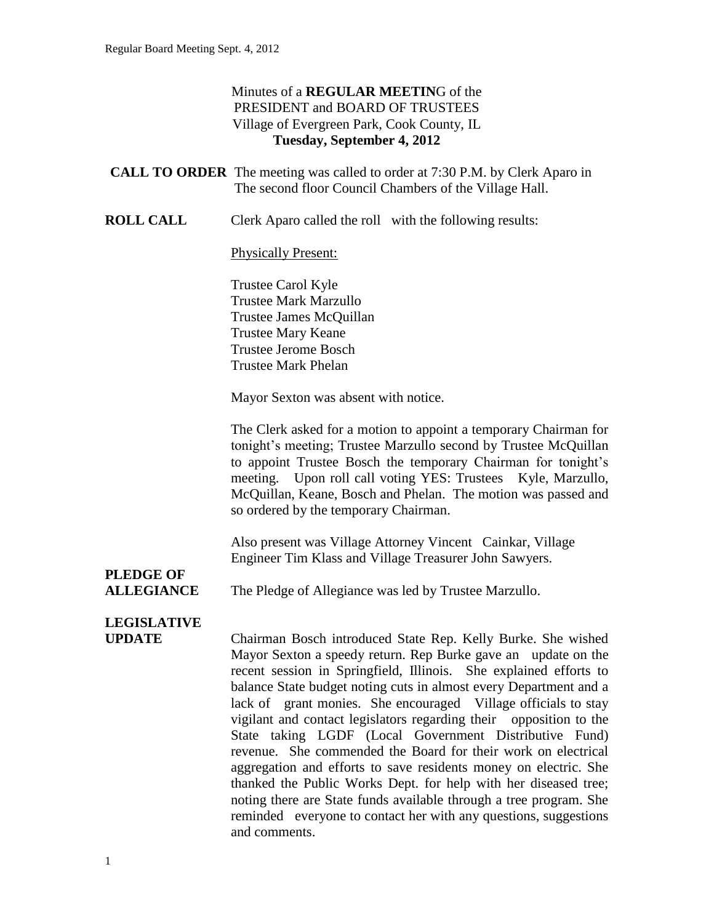#### Minutes of a **REGULAR MEETIN**G of the PRESIDENT and BOARD OF TRUSTEES Village of Evergreen Park, Cook County, IL **Tuesday, September 4, 2012**

| <b>CALL TO ORDER</b> The meeting was called to order at 7:30 P.M. by Clerk Aparo in |
|-------------------------------------------------------------------------------------|
| The second floor Council Chambers of the Village Hall.                              |

**ROLL CALL** Clerk Aparo called the roll with the following results:

#### Physically Present:

Trustee Carol Kyle Trustee Mark Marzullo Trustee James McQuillan Trustee Mary Keane Trustee Jerome Bosch Trustee Mark Phelan

Mayor Sexton was absent with notice.

The Clerk asked for a motion to appoint a temporary Chairman for tonight's meeting; Trustee Marzullo second by Trustee McQuillan to appoint Trustee Bosch the temporary Chairman for tonight's meeting. Upon roll call voting YES: Trustees Kyle, Marzullo, McQuillan, Keane, Bosch and Phelan. The motion was passed and so ordered by the temporary Chairman.

Also present was Village Attorney Vincent Cainkar, Village Engineer Tim Klass and Village Treasurer John Sawyers.

# **PLEDGE OF**

**ALLEGIANCE** The Pledge of Allegiance was led by Trustee Marzullo.

# **LEGISLATIVE**

**UPDATE** Chairman Bosch introduced State Rep. Kelly Burke. She wished Mayor Sexton a speedy return. Rep Burke gave an update on the recent session in Springfield, Illinois. She explained efforts to balance State budget noting cuts in almost every Department and a lack of grant monies. She encouraged Village officials to stay vigilant and contact legislators regarding their opposition to the State taking LGDF (Local Government Distributive Fund) revenue. She commended the Board for their work on electrical aggregation and efforts to save residents money on electric. She thanked the Public Works Dept. for help with her diseased tree; noting there are State funds available through a tree program. She reminded everyone to contact her with any questions, suggestions and comments.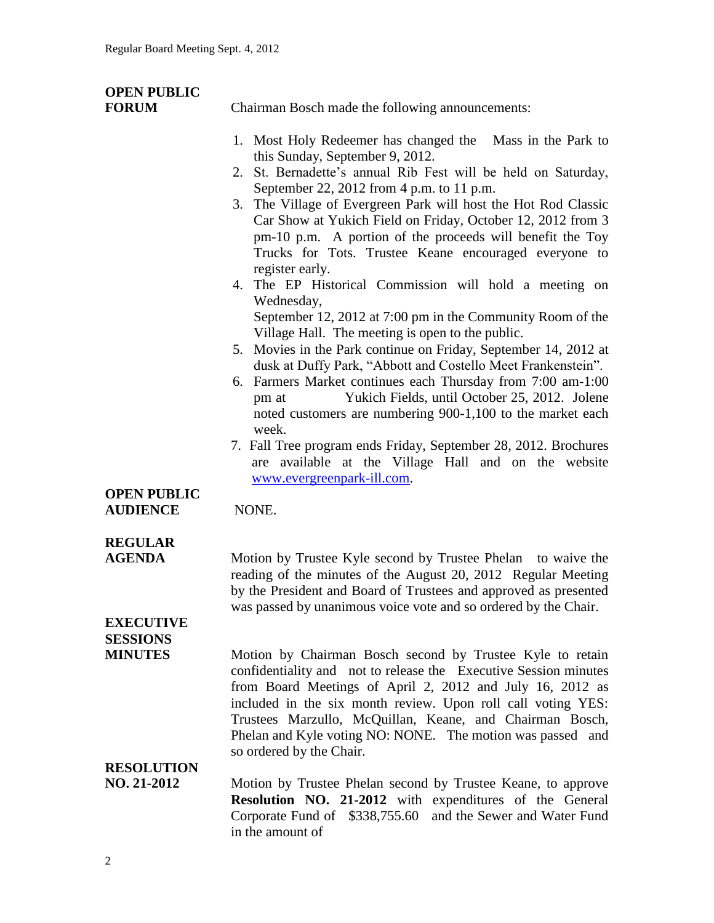# **OPEN PUBLIC**

**FORUM** Chairman Bosch made the following announcements:

- 1. Most Holy Redeemer has changed the Mass in the Park to this Sunday, September 9, 2012.
- 2. St. Bernadette's annual Rib Fest will be held on Saturday, September 22, 2012 from 4 p.m. to 11 p.m.
- 3. The Village of Evergreen Park will host the Hot Rod Classic Car Show at Yukich Field on Friday, October 12, 2012 from 3 pm-10 p.m. A portion of the proceeds will benefit the Toy Trucks for Tots. Trustee Keane encouraged everyone to register early.
- 4. The EP Historical Commission will hold a meeting on Wednesday, September 12, 2012 at 7:00 pm in the Community Room of the Village Hall. The meeting is open to the public.
- 5. Movies in the Park continue on Friday, September 14, 2012 at dusk at Duffy Park, "Abbott and Costello Meet Frankenstein".
- 6. Farmers Market continues each Thursday from 7:00 am-1:00 pm at Yukich Fields, until October 25, 2012. Jolene noted customers are numbering 900-1,100 to the market each week.
- 7. Fall Tree program ends Friday, September 28, 2012. Brochures are available at the Village Hall and on the website [www.evergreenpark-ill.com.](http://www.evergreenpark-ill.com/)

#### **OPEN PUBLIC AUDIENCE** NONE.

# **REGULAR**

**AGENDA** Motion by Trustee Kyle second by Trustee Phelan to waive the reading of the minutes of the August 20, 2012 Regular Meeting by the President and Board of Trustees and approved as presented was passed by unanimous voice vote and so ordered by the Chair.

### **EXECUTIVE SESSIONS**

**MINUTES** Motion by Chairman Bosch second by Trustee Kyle to retain confidentiality and not to release the Executive Session minutes from Board Meetings of April 2, 2012 and July 16, 2012 as included in the six month review. Upon roll call voting YES: Trustees Marzullo, McQuillan, Keane, and Chairman Bosch, Phelan and Kyle voting NO: NONE. The motion was passed and so ordered by the Chair.

# **RESOLUTION**

**NO. 21-2012** Motion by Trustee Phelan second by Trustee Keane, to approve **Resolution NO. 21-2012** with expenditures of the General Corporate Fund of \$338,755.60 and the Sewer and Water Fund in the amount of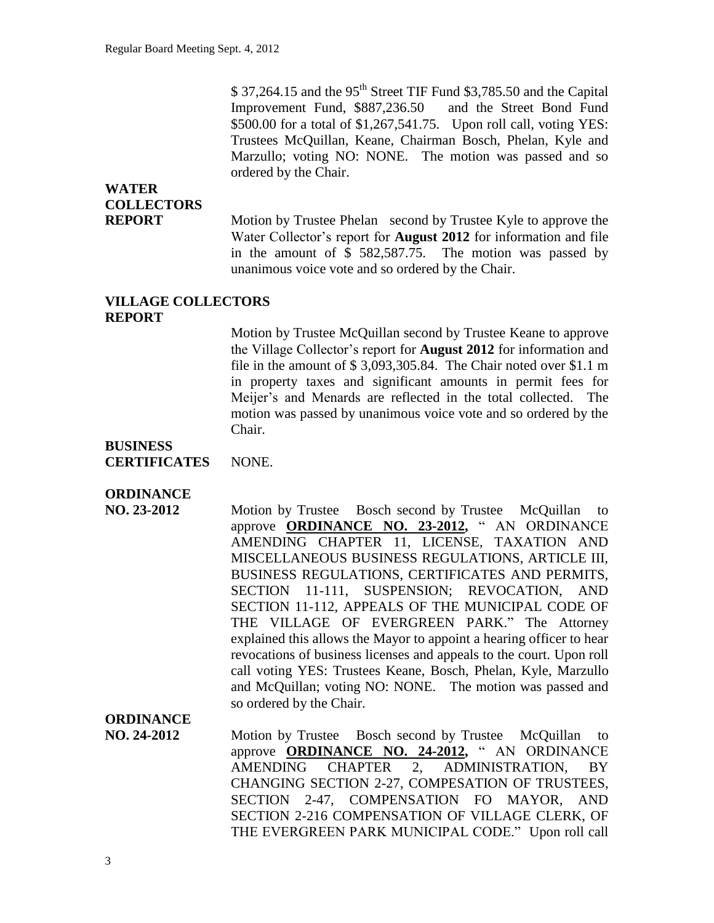$$37,264.15$  and the 95<sup>th</sup> Street TIF Fund  $$3,785.50$  and the Capital Improvement Fund, \$887,236.50 and the Street Bond Fund \$500.00 for a total of \$1,267,541.75. Upon roll call, voting YES: Trustees McQuillan, Keane, Chairman Bosch, Phelan, Kyle and Marzullo; voting NO: NONE. The motion was passed and so ordered by the Chair.

# **WATER COLLECTORS**

**REPORT** Motion by Trustee Phelan second by Trustee Kyle to approve the Water Collector's report for **August 2012** for information and file in the amount of \$ 582,587.75. The motion was passed by unanimous voice vote and so ordered by the Chair.

#### **VILLAGE COLLECTORS REPORT**

Motion by Trustee McQuillan second by Trustee Keane to approve the Village Collector's report for **August 2012** for information and file in the amount of \$ 3,093,305.84. The Chair noted over \$1.1 m in property taxes and significant amounts in permit fees for Meijer's and Menards are reflected in the total collected. The motion was passed by unanimous voice vote and so ordered by the Chair.

### **BUSINESS**

#### **ORDINANCE**

**NO. 23-2012** Motion by Trustee Bosch second by Trustee McQuillan to approve **ORDINANCE NO. 23-2012,** " AN ORDINANCE AMENDING CHAPTER 11, LICENSE, TAXATION AND MISCELLANEOUS BUSINESS REGULATIONS, ARTICLE III, BUSINESS REGULATIONS, CERTIFICATES AND PERMITS, SECTION 11-111, SUSPENSION; REVOCATION, AND SECTION 11-112, APPEALS OF THE MUNICIPAL CODE OF THE VILLAGE OF EVERGREEN PARK." The Attorney explained this allows the Mayor to appoint a hearing officer to hear revocations of business licenses and appeals to the court. Upon roll call voting YES: Trustees Keane, Bosch, Phelan, Kyle, Marzullo and McQuillan; voting NO: NONE. The motion was passed and so ordered by the Chair.

### **ORDINANCE**

**NO. 24-2012** Motion by Trustee Bosch second by Trustee McQuillan to approve **ORDINANCE NO. 24-2012,** " AN ORDINANCE AMENDING CHAPTER 2, ADMINISTRATION, BY CHANGING SECTION 2-27, COMPESATION OF TRUSTEES, SECTION 2-47, COMPENSATION FO MAYOR, AND SECTION 2-216 COMPENSATION OF VILLAGE CLERK, OF THE EVERGREEN PARK MUNICIPAL CODE." Upon roll call

**CERTIFICATES** NONE.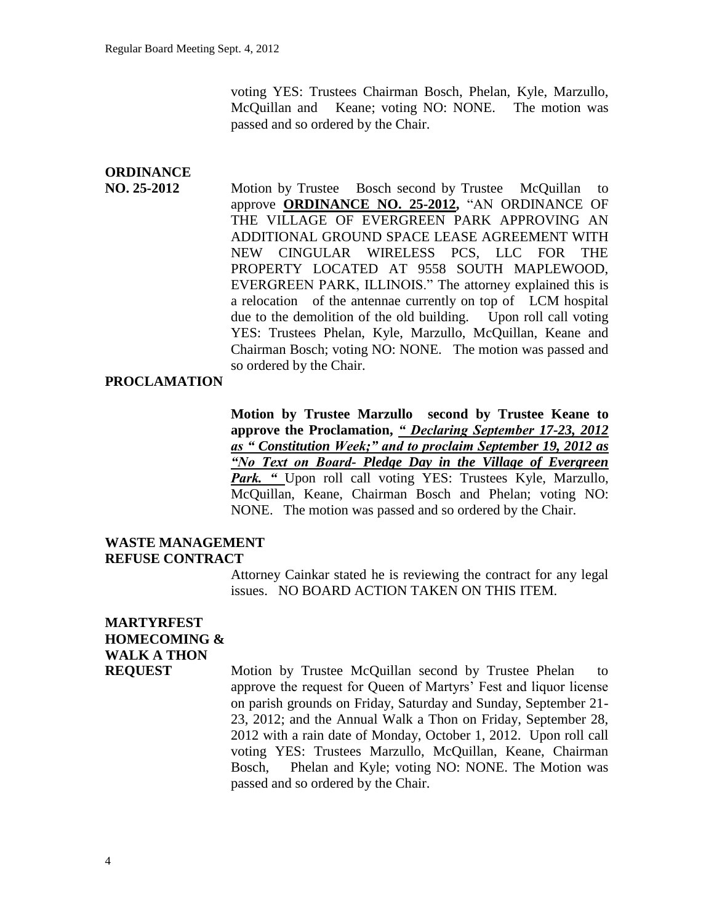voting YES: Trustees Chairman Bosch, Phelan, Kyle, Marzullo, McQuillan and Keane; voting NO: NONE. The motion was passed and so ordered by the Chair.

# **ORDINANCE**

**NO. 25-2012** Motion by Trustee Bosch second by Trustee McQuillan to approve **ORDINANCE NO. 25-2012,** "AN ORDINANCE OF THE VILLAGE OF EVERGREEN PARK APPROVING AN ADDITIONAL GROUND SPACE LEASE AGREEMENT WITH NEW CINGULAR WIRELESS PCS, LLC FOR THE PROPERTY LOCATED AT 9558 SOUTH MAPLEWOOD, EVERGREEN PARK, ILLINOIS." The attorney explained this is a relocation of the antennae currently on top of LCM hospital due to the demolition of the old building. Upon roll call voting YES: Trustees Phelan, Kyle, Marzullo, McQuillan, Keane and Chairman Bosch; voting NO: NONE. The motion was passed and so ordered by the Chair.

#### **PROCLAMATION**

**Motion by Trustee Marzullo second by Trustee Keane to approve the Proclamation,** *" Declaring September 17-23, 2012 as " Constitution Week;" and to proclaim September 19, 2012 as "No Text on Board- Pledge Day in the Village of Evergreen*  **Park.** " Upon roll call voting YES: Trustees Kyle, Marzullo, McQuillan, Keane, Chairman Bosch and Phelan; voting NO: NONE. The motion was passed and so ordered by the Chair.

#### **WASTE MANAGEMENT REFUSE CONTRACT**

Attorney Cainkar stated he is reviewing the contract for any legal issues. NO BOARD ACTION TAKEN ON THIS ITEM.

## **MARTYRFEST HOMECOMING & WALK A THON**

**REQUEST** Motion by Trustee McQuillan second by Trustee Phelan to approve the request for Queen of Martyrs' Fest and liquor license on parish grounds on Friday, Saturday and Sunday, September 21- 23, 2012; and the Annual Walk a Thon on Friday, September 28, 2012 with a rain date of Monday, October 1, 2012. Upon roll call voting YES: Trustees Marzullo, McQuillan, Keane, Chairman Bosch, Phelan and Kyle; voting NO: NONE. The Motion was passed and so ordered by the Chair.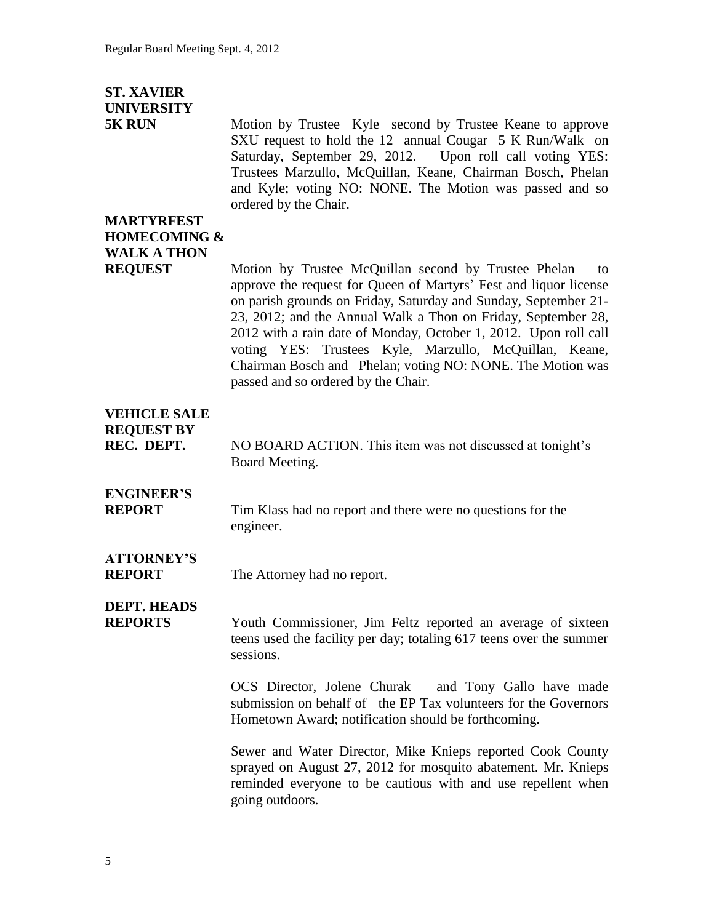## **ST. XAVIER UNIVERSITY**

**5K RUN** Motion by Trustee Kyle second by Trustee Keane to approve SXU request to hold the 12 annual Cougar 5 K Run/Walk on Saturday, September 29, 2012. Upon roll call voting YES: Trustees Marzullo, McQuillan, Keane, Chairman Bosch, Phelan and Kyle; voting NO: NONE. The Motion was passed and so ordered by the Chair.

# **MARTYRFEST HOMECOMING & WALK A THON**

**REQUEST** Motion by Trustee McQuillan second by Trustee Phelan to approve the request for Queen of Martyrs' Fest and liquor license on parish grounds on Friday, Saturday and Sunday, September 21- 23, 2012; and the Annual Walk a Thon on Friday, September 28, 2012 with a rain date of Monday, October 1, 2012. Upon roll call voting YES: Trustees Kyle, Marzullo, McQuillan, Keane, Chairman Bosch and Phelan; voting NO: NONE. The Motion was passed and so ordered by the Chair.

## **VEHICLE SALE REQUEST BY**

**REC. DEPT.** NO BOARD ACTION. This item was not discussed at tonight's Board Meeting.

# **ENGINEER'S**

**REPORT** Tim Klass had no report and there were no questions for the engineer.

# **ATTORNEY'S**

**REPORT** The Attorney had no report.

### **DEPT. HEADS**

**REPORTS** 2001 Youth Commissioner, Jim Feltz reported an average of sixteen teens used the facility per day; totaling 617 teens over the summer sessions.

> OCS Director, Jolene Churak and Tony Gallo have made submission on behalf of the EP Tax volunteers for the Governors Hometown Award; notification should be forthcoming.

> Sewer and Water Director, Mike Knieps reported Cook County sprayed on August 27, 2012 for mosquito abatement. Mr. Knieps reminded everyone to be cautious with and use repellent when going outdoors.